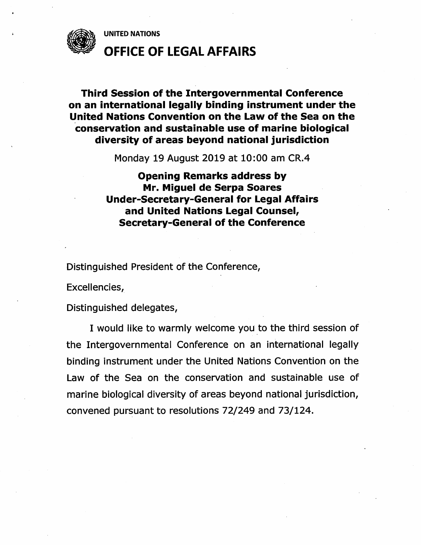UNITED NATIONS



OFFICE OF LEGAL AFFAIRS

## Third Session of the Intergovernmental Conference on an international legally binding instrument under the United Nations Convention on the Law of the Sea on the conservation and sustainable use of marine biological diversity of areas beyond national jurisdiction

Monday 19 August 2019 at 10:00 am CR.4

## Opening Remarks address by Mr. Miguel de Serpa Soares Under-Secretary-Generai for Legal Affairs and United Nations Legal Counsel, Secretary-General of the Conference

Distinguished President of the Conference,

Excellencies,

Distinguished delegates,

I would like to warmly welcome you to the third session of the Intergovernmental Conference on an international legally binding instrument under the United Nations Convention on the Law of the Sea on the conservation and sustainable use of marine biological diversity of areas beyond national jurisdiction, convened pursuant to resolutions 72/249 and 73/124.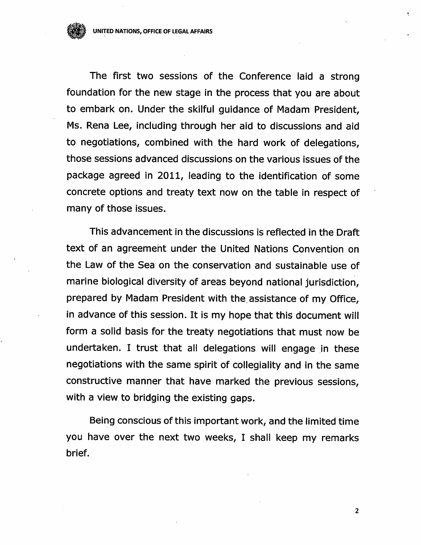The first two sessions of the Conference laid a strong foundation for the new stage in the process that you are about to embark on. Under the skilful guidance of Madam President, Ms. Rena Lee, including through her aid to discussions and aid to negotiations, combined with the hard work of delegations, those sessions advanced discussions on the various issues of the package agreed in 2011, leading to the identification of some concrete options and treaty text now on the table in respect of many of those issues.

This advancement in the discussions is reflected in the Draft text of an agreemeht under the United Nations Convention on the Law of the Sea on the conservation and sustainable use of marine biological diversity of areas beyond national jurisdiction, prepared by Madam President with the assistance of my Office, in advance of this session. It is my hope that this document will form a solid basis for the treaty negotiations that must now be undertaken. I trust that all delegations will engage in these negotiations with the same spirit of collegiality and in the same constructive manner that have marked the previous sessions, with a view to bridging the existing gaps.

Being conscious of this important work, and the limited time you have over the next two weeks, I shall keep my remarks brief.

 $\overline{2}$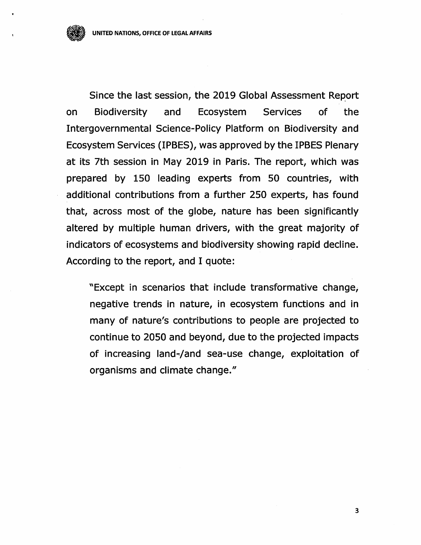Since the last session, the 2019 Global Assessment Report on Biodiversity and Ecosystem Services of the Intergovernmental Science-Policy Platform on Biodiversity and Ecosystem Services (IPBES), was approved by the IPBES Plenary at its 7th session in May 2019 in Paris. The report, which was prepared by 150 leading experts from 50 countries, with additional contributions from a further 250 experts, has found that, across most of the globe, nature has been significantly altered by multiple human drivers, with the great majority of indicators of ecosystems and biodiversity showing rapid decline. According to the report, and I quote:

"Except in scenarios that include transformative change, negative trends in nature, in ecosystem functions and in many of nature's contributions to people are projected to continue to 2050 and beyond, due to the projected impacts of increasing land-/and sea-use change, exploitation of organisms and climate change."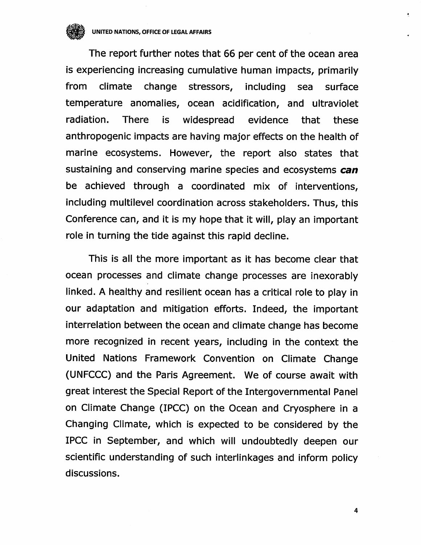UNITED NATIONS, OFFICE OF LEGAL AFFAIRS

The report further notes that 66 per cent of the ocean area is experiencing increasing cumulative human impacts, primarily from climate change stressors, including sea surface temperature anomalies, ocean acidification, and ultraviolet radiation. There is widespread evidence that these anthropogenic impacts are having major effects on the health of marine ecosystems. However, the report also states that sustaining and conserving marine species and ecosystems can be achieved through a coordinated mix of interventions, including multilevel coordination across stakeholders. Thus, this Conference can, and it is my hope that it will, play an important role in turning the tide against this rapid decline.

This is all the more important as it has become clear that ocean processes and climate change processes are inexorably linked. A healthy and resilient ocean has a critical role to play in our adaptation and mitigation efforts. Indeed, the important interrelation between the ocean and climate change has become more recognized in recent years, including in the context the United Nations Framework Convention on Climate Change (UNFCCC) and the Paris Agreement. We of course await with great interest the Special Report of the Intergovernmental Panel on Climate Change (IPCC) on the Ocean and Cryosphere in a Changing Climate, which is expected to be considered by the IPCC in September, and which will undoubtedly deepen our scientific understanding of such interlinkages and inform policy discussions.

 $\overline{\mathbf{4}}$